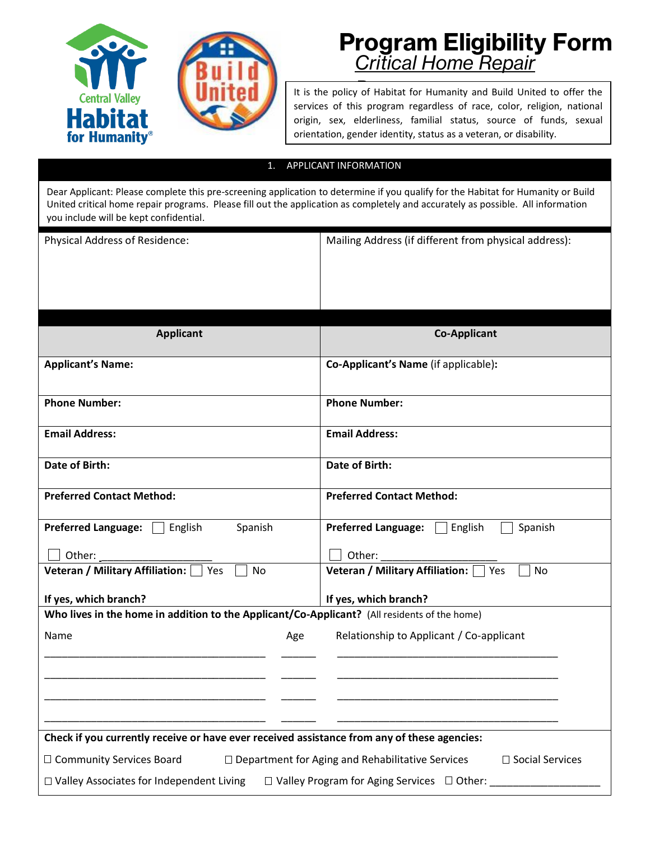

## **Program Eligibility Form** *Critical Home Repair*

It is the policy of Habitat for Humanity and Build United to offer the services of this program regardless of race, color, religion, national origin, sex, elderliness, familial status, source of funds, sexual orientation, gender identity, status as a veteran, or disability.

## 1. APPLICANT INFORMATION

Dear Applicant: Please complete this pre-screening application to determine if you qualify for the Habitat for Humanity or Build United critical home repair programs. Please fill out the application as completely and accurately as possible. All information you include will be kept confidential.

| Physical Address of Residence:                                                                             | Mailing Address (if different from physical address): |
|------------------------------------------------------------------------------------------------------------|-------------------------------------------------------|
|                                                                                                            |                                                       |
| <b>Applicant</b>                                                                                           | <b>Co-Applicant</b>                                   |
| <b>Applicant's Name:</b>                                                                                   | Co-Applicant's Name (if applicable):                  |
| <b>Phone Number:</b>                                                                                       | <b>Phone Number:</b>                                  |
| <b>Email Address:</b>                                                                                      | <b>Email Address:</b>                                 |
| Date of Birth:                                                                                             | Date of Birth:                                        |
| <b>Preferred Contact Method:</b>                                                                           | <b>Preferred Contact Method:</b>                      |
| <b>Preferred Language:</b><br>English<br>Spanish                                                           | <b>Preferred Language:</b><br>English<br>Spanish      |
| Other:                                                                                                     | Other:                                                |
| Veteran / Military Affiliation: Ves<br>No                                                                  | Veteran / Military Affiliation: [<br><b>No</b><br>Yes |
| If yes, which branch?                                                                                      | If yes, which branch?                                 |
| Who lives in the home in addition to the Applicant/Co-Applicant? (All residents of the home)               |                                                       |
| Name<br>Age                                                                                                | Relationship to Applicant / Co-applicant              |
|                                                                                                            |                                                       |
|                                                                                                            |                                                       |
| Check if you currently receive or have ever received assistance from any of these agencies:                |                                                       |
| □ Department for Aging and Rehabilitative Services<br>□ Community Services Board<br>$\Box$ Social Services |                                                       |
| □ Valley Associates for Independent Living<br>$\Box$ Valley Program for Aging Services $\Box$ Other:       |                                                       |